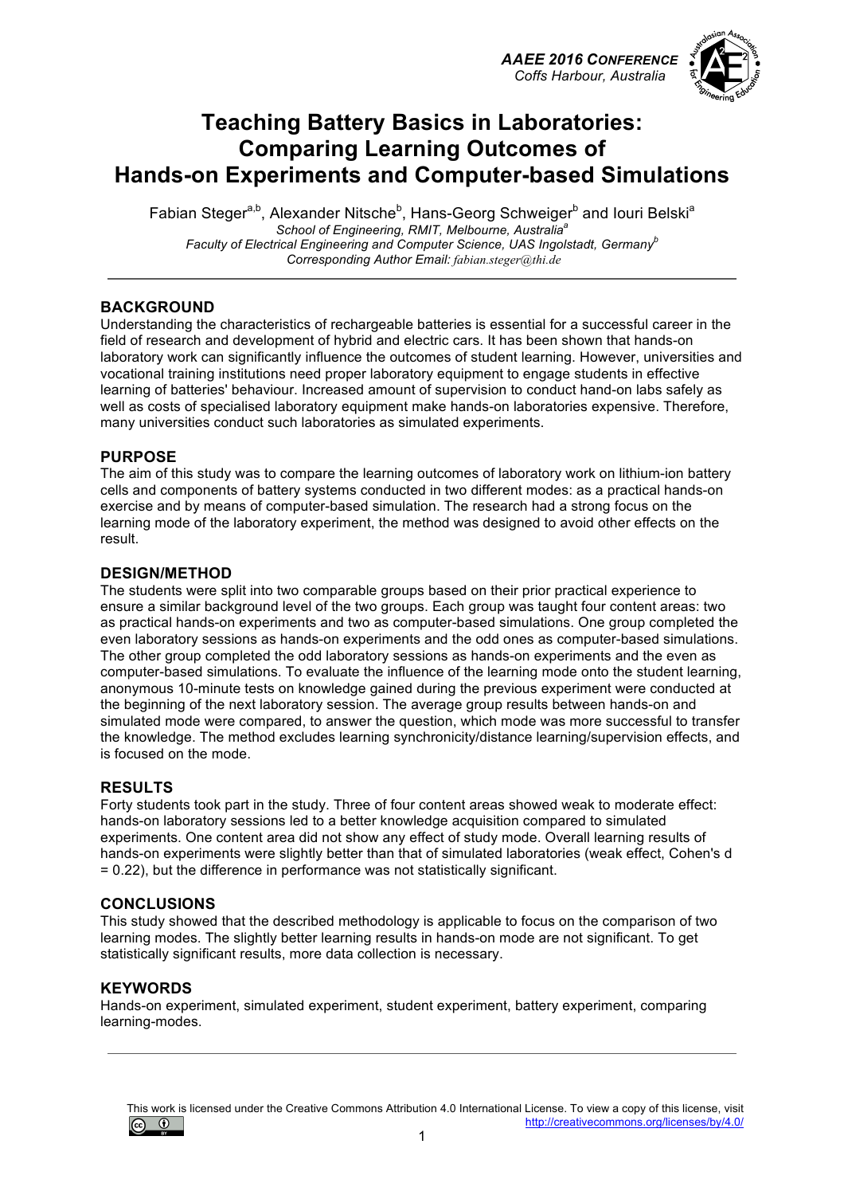*AAEE 2016 CONFERENCE Coffs Harbour, Australia*



## **Teaching Battery Basics in Laboratories: Comparing Learning Outcomes of Hands-on Experiments and Computer-based Simulations**

Fabian Steger<sup>a,b</sup>, Alexander Nitsche<sup>b</sup>, Hans-Georg Schweiger<sup>b</sup> and Iouri Belski<sup>a</sup> *School of Engineering, RMIT, Melbourne, Australiaa Faculty of Electrical Engineering and Computer Science, UAS Ingolstadt, Germany<sup>b</sup> Corresponding Author Email: fabian.steger@thi.de*

### **BACKGROUND**

Understanding the characteristics of rechargeable batteries is essential for a successful career in the field of research and development of hybrid and electric cars. It has been shown that hands-on laboratory work can significantly influence the outcomes of student learning. However, universities and vocational training institutions need proper laboratory equipment to engage students in effective learning of batteries' behaviour. Increased amount of supervision to conduct hand-on labs safely as well as costs of specialised laboratory equipment make hands-on laboratories expensive. Therefore, many universities conduct such laboratories as simulated experiments.

### **PURPOSE**

The aim of this study was to compare the learning outcomes of laboratory work on lithium-ion battery cells and components of battery systems conducted in two different modes: as a practical hands-on exercise and by means of computer-based simulation. The research had a strong focus on the learning mode of the laboratory experiment, the method was designed to avoid other effects on the result.

### **DESIGN/METHOD**

The students were split into two comparable groups based on their prior practical experience to ensure a similar background level of the two groups. Each group was taught four content areas: two as practical hands-on experiments and two as computer-based simulations. One group completed the even laboratory sessions as hands-on experiments and the odd ones as computer-based simulations. The other group completed the odd laboratory sessions as hands-on experiments and the even as computer-based simulations. To evaluate the influence of the learning mode onto the student learning, anonymous 10-minute tests on knowledge gained during the previous experiment were conducted at the beginning of the next laboratory session. The average group results between hands-on and simulated mode were compared, to answer the question, which mode was more successful to transfer the knowledge. The method excludes learning synchronicity/distance learning/supervision effects, and is focused on the mode.

#### **RESULTS**

Forty students took part in the study. Three of four content areas showed weak to moderate effect: hands-on laboratory sessions led to a better knowledge acquisition compared to simulated experiments. One content area did not show any effect of study mode. Overall learning results of hands-on experiments were slightly better than that of simulated laboratories (weak effect, Cohen's d = 0.22), but the difference in performance was not statistically significant.

#### **CONCLUSIONS**

This study showed that the described methodology is applicable to focus on the comparison of two learning modes. The slightly better learning results in hands-on mode are not significant. To get statistically significant results, more data collection is necessary.

### **KEYWORDS**

Hands-on experiment, simulated experiment, student experiment, battery experiment, comparing learning-modes.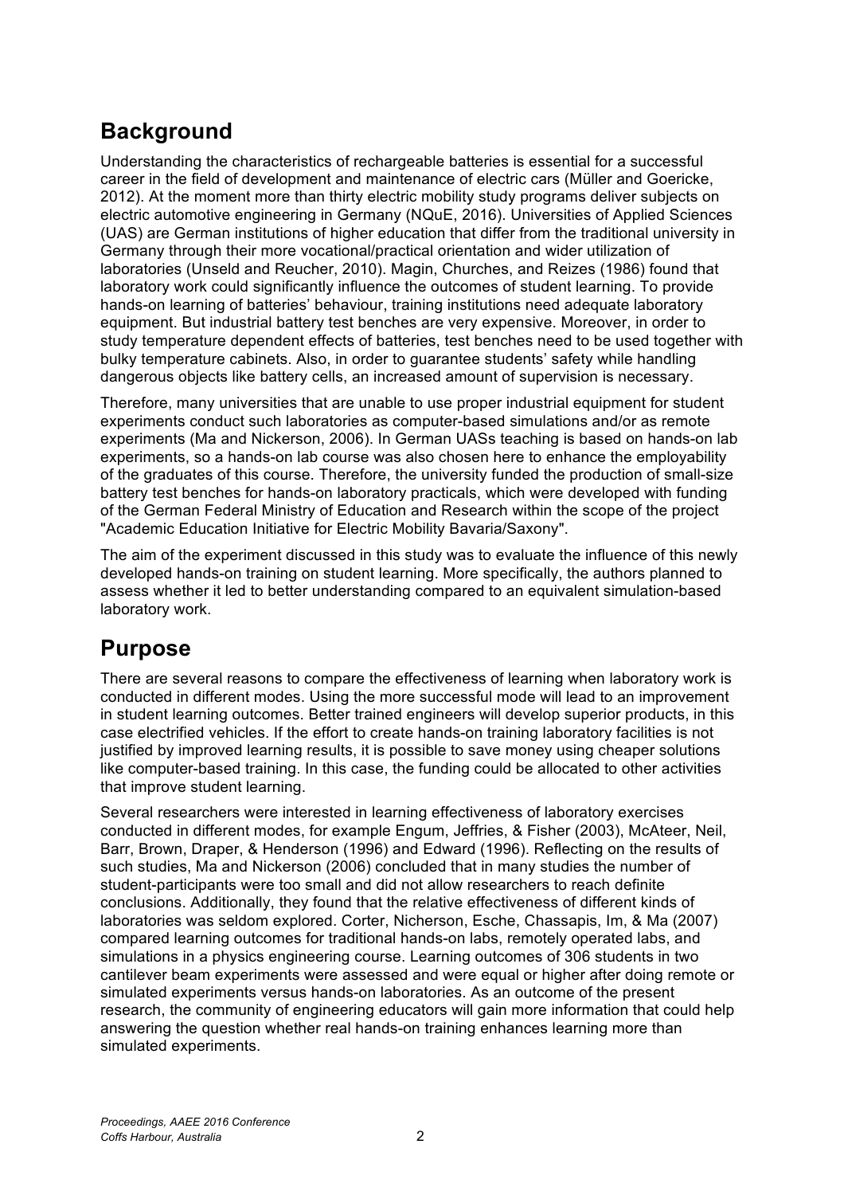# **Background**

Understanding the characteristics of rechargeable batteries is essential for a successful career in the field of development and maintenance of electric cars (Müller and Goericke, 2012). At the moment more than thirty electric mobility study programs deliver subjects on electric automotive engineering in Germany (NQuE, 2016). Universities of Applied Sciences (UAS) are German institutions of higher education that differ from the traditional university in Germany through their more vocational/practical orientation and wider utilization of laboratories (Unseld and Reucher, 2010). Magin, Churches, and Reizes (1986) found that laboratory work could significantly influence the outcomes of student learning. To provide hands-on learning of batteries' behaviour, training institutions need adequate laboratory equipment. But industrial battery test benches are very expensive. Moreover, in order to study temperature dependent effects of batteries, test benches need to be used together with bulky temperature cabinets. Also, in order to guarantee students' safety while handling dangerous objects like battery cells, an increased amount of supervision is necessary.

Therefore, many universities that are unable to use proper industrial equipment for student experiments conduct such laboratories as computer-based simulations and/or as remote experiments (Ma and Nickerson, 2006). In German UASs teaching is based on hands-on lab experiments, so a hands-on lab course was also chosen here to enhance the employability of the graduates of this course. Therefore, the university funded the production of small-size battery test benches for hands-on laboratory practicals, which were developed with funding of the German Federal Ministry of Education and Research within the scope of the project "Academic Education Initiative for Electric Mobility Bavaria/Saxony".

The aim of the experiment discussed in this study was to evaluate the influence of this newly developed hands-on training on student learning. More specifically, the authors planned to assess whether it led to better understanding compared to an equivalent simulation-based laboratory work.

# **Purpose**

There are several reasons to compare the effectiveness of learning when laboratory work is conducted in different modes. Using the more successful mode will lead to an improvement in student learning outcomes. Better trained engineers will develop superior products, in this case electrified vehicles. If the effort to create hands-on training laboratory facilities is not justified by improved learning results, it is possible to save money using cheaper solutions like computer-based training. In this case, the funding could be allocated to other activities that improve student learning.

Several researchers were interested in learning effectiveness of laboratory exercises conducted in different modes, for example Engum, Jeffries, & Fisher (2003), McAteer, Neil, Barr, Brown, Draper, & Henderson (1996) and Edward (1996). Reflecting on the results of such studies, Ma and Nickerson (2006) concluded that in many studies the number of student-participants were too small and did not allow researchers to reach definite conclusions. Additionally, they found that the relative effectiveness of different kinds of laboratories was seldom explored. Corter, Nicherson, Esche, Chassapis, Im, & Ma (2007) compared learning outcomes for traditional hands-on labs, remotely operated labs, and simulations in a physics engineering course. Learning outcomes of 306 students in two cantilever beam experiments were assessed and were equal or higher after doing remote or simulated experiments versus hands-on laboratories. As an outcome of the present research, the community of engineering educators will gain more information that could help answering the question whether real hands-on training enhances learning more than simulated experiments.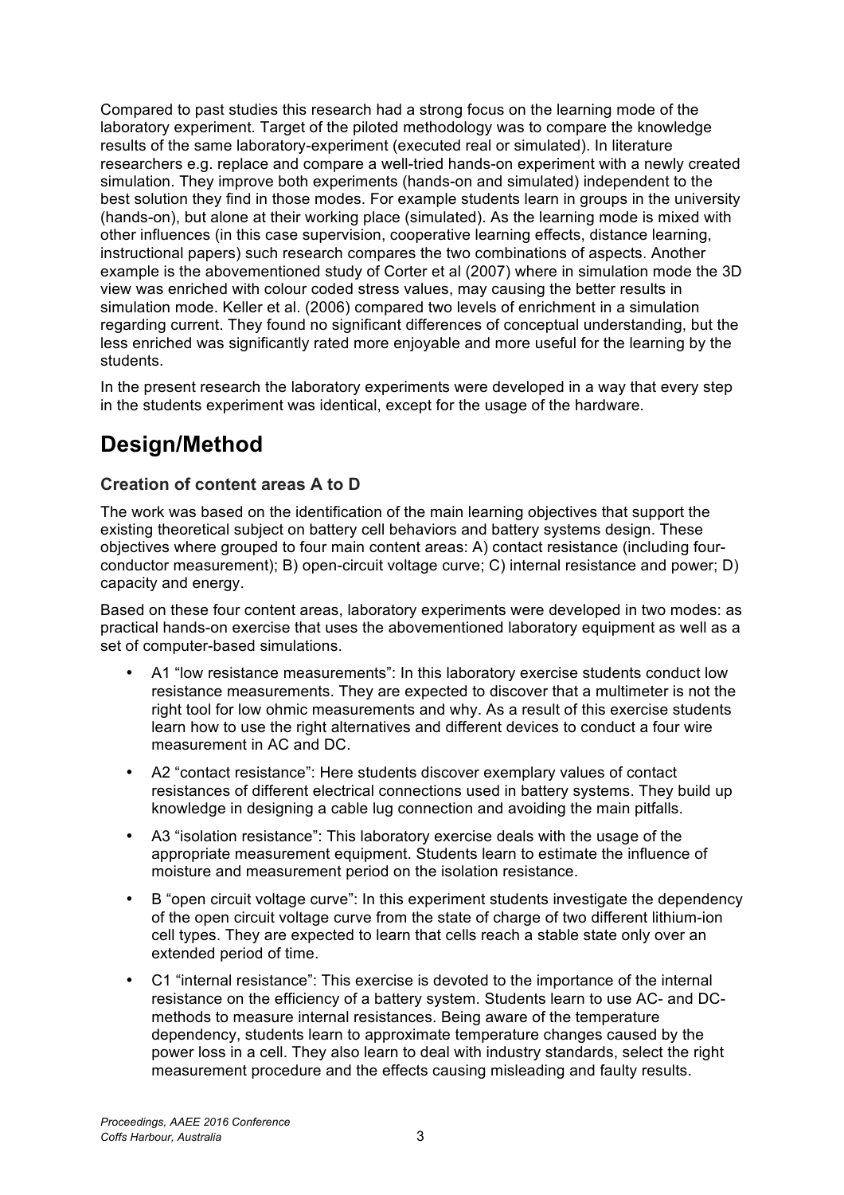Compared to past studies this research had a strong focus on the learning mode of the laboratory experiment. Target of the piloted methodology was to compare the knowledge results of the same laboratory-experiment (executed real or simulated). In literature researchers e.g. replace and compare a well-tried hands-on experiment with a newly created simulation. They improve both experiments (hands-on and simulated) independent to the best solution they find in those modes. For example students learn in groups in the university (hands-on), but alone at their working place (simulated). As the learning mode is mixed with other influences (in this case supervision, cooperative learning effects, distance learning, instructional papers) such research compares the two combinations of aspects. Another example is the abovementioned study of Corter et al (2007) where in simulation mode the 3D view was enriched with colour coded stress values, may causing the better results in simulation mode. Keller et al. (2006) compared two levels of enrichment in a simulation regarding current. They found no significant differences of conceptual understanding, but the less enriched was significantly rated more enjoyable and more useful for the learning by the students.

In the present research the laboratory experiments were developed in a way that every step in the students experiment was identical, except for the usage of the hardware.

# **Design/Method**

## **Creation of content areas A to D**

The work was based on the identification of the main learning objectives that support the existing theoretical subject on battery cell behaviors and battery systems design. These objectives where grouped to four main content areas: A) contact resistance (including fourconductor measurement); B) open-circuit voltage curve; C) internal resistance and power; D) capacity and energy.

Based on these four content areas, laboratory experiments were developed in two modes: as practical hands-on exercise that uses the abovementioned laboratory equipment as well as a set of computer-based simulations.

- A1 "low resistance measurements": In this laboratory exercise students conduct low resistance measurements. They are expected to discover that a multimeter is not the right tool for low ohmic measurements and why. As a result of this exercise students learn how to use the right alternatives and different devices to conduct a four wire measurement in AC and DC.
- A2 "contact resistance": Here students discover exemplary values of contact resistances of different electrical connections used in battery systems. They build up knowledge in designing a cable lug connection and avoiding the main pitfalls.
- A3 "isolation resistance": This laboratory exercise deals with the usage of the appropriate measurement equipment. Students learn to estimate the influence of moisture and measurement period on the isolation resistance.
- B "open circuit voltage curve": In this experiment students investigate the dependency of the open circuit voltage curve from the state of charge of two different lithium-ion cell types. They are expected to learn that cells reach a stable state only over an extended period of time.
- C1 "internal resistance": This exercise is devoted to the importance of the internal resistance on the efficiency of a battery system. Students learn to use AC- and DCmethods to measure internal resistances. Being aware of the temperature dependency, students learn to approximate temperature changes caused by the power loss in a cell. They also learn to deal with industry standards, select the right measurement procedure and the effects causing misleading and faulty results.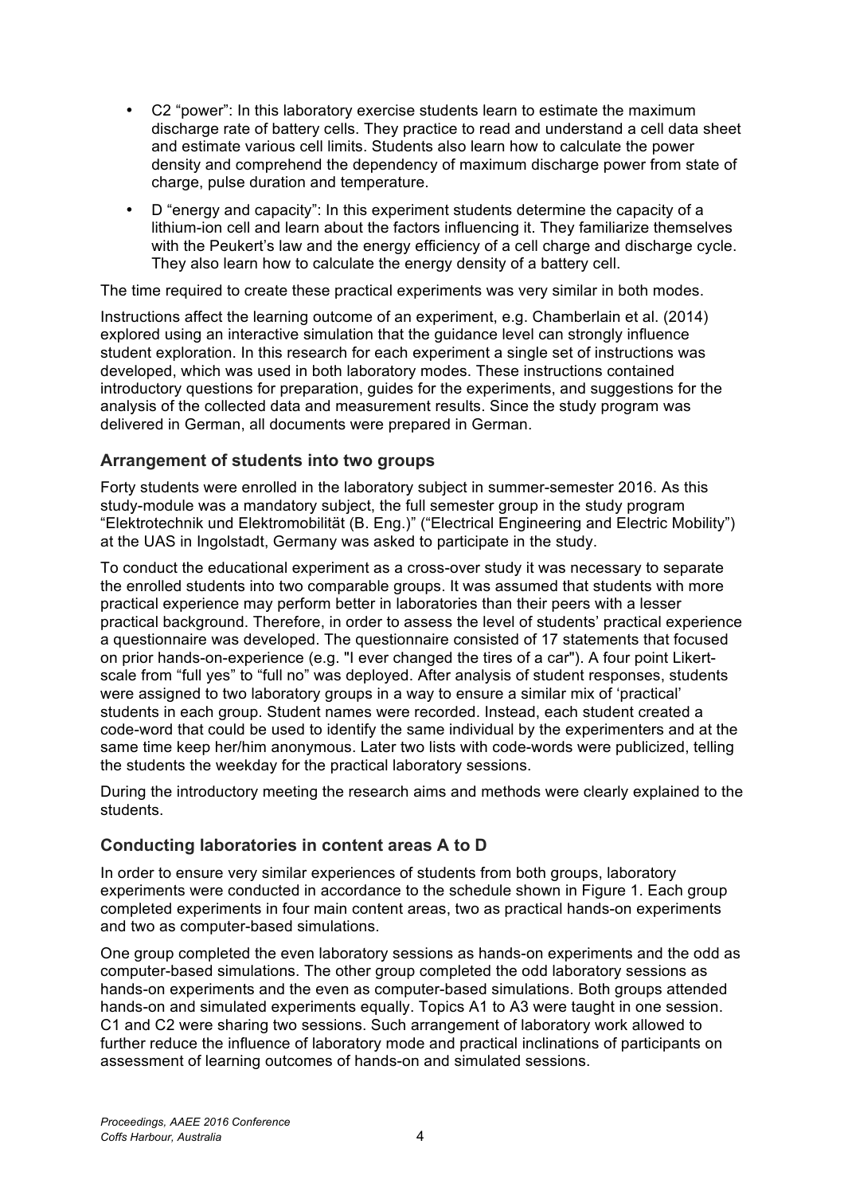- C2 "power": In this laboratory exercise students learn to estimate the maximum discharge rate of battery cells. They practice to read and understand a cell data sheet and estimate various cell limits. Students also learn how to calculate the power density and comprehend the dependency of maximum discharge power from state of charge, pulse duration and temperature.
- D "energy and capacity": In this experiment students determine the capacity of a lithium-ion cell and learn about the factors influencing it. They familiarize themselves with the Peukert's law and the energy efficiency of a cell charge and discharge cycle. They also learn how to calculate the energy density of a battery cell.

The time required to create these practical experiments was very similar in both modes.

Instructions affect the learning outcome of an experiment, e.g. Chamberlain et al. (2014) explored using an interactive simulation that the guidance level can strongly influence student exploration. In this research for each experiment a single set of instructions was developed, which was used in both laboratory modes. These instructions contained introductory questions for preparation, guides for the experiments, and suggestions for the analysis of the collected data and measurement results. Since the study program was delivered in German, all documents were prepared in German.

## **Arrangement of students into two groups**

Forty students were enrolled in the laboratory subject in summer-semester 2016. As this study-module was a mandatory subject, the full semester group in the study program "Elektrotechnik und Elektromobilität (B. Eng.)" ("Electrical Engineering and Electric Mobility") at the UAS in Ingolstadt, Germany was asked to participate in the study.

To conduct the educational experiment as a cross-over study it was necessary to separate the enrolled students into two comparable groups. It was assumed that students with more practical experience may perform better in laboratories than their peers with a lesser practical background. Therefore, in order to assess the level of students' practical experience a questionnaire was developed. The questionnaire consisted of 17 statements that focused on prior hands-on-experience (e.g. "I ever changed the tires of a car"). A four point Likertscale from "full yes" to "full no" was deployed. After analysis of student responses, students were assigned to two laboratory groups in a way to ensure a similar mix of 'practical' students in each group. Student names were recorded. Instead, each student created a code-word that could be used to identify the same individual by the experimenters and at the same time keep her/him anonymous. Later two lists with code-words were publicized, telling the students the weekday for the practical laboratory sessions.

During the introductory meeting the research aims and methods were clearly explained to the students.

## **Conducting laboratories in content areas A to D**

In order to ensure very similar experiences of students from both groups, laboratory experiments were conducted in accordance to the schedule shown in Figure 1. Each group completed experiments in four main content areas, two as practical hands-on experiments and two as computer-based simulations.

One group completed the even laboratory sessions as hands-on experiments and the odd as computer-based simulations. The other group completed the odd laboratory sessions as hands-on experiments and the even as computer-based simulations. Both groups attended hands-on and simulated experiments equally. Topics A1 to A3 were taught in one session. C1 and C2 were sharing two sessions. Such arrangement of laboratory work allowed to further reduce the influence of laboratory mode and practical inclinations of participants on assessment of learning outcomes of hands-on and simulated sessions.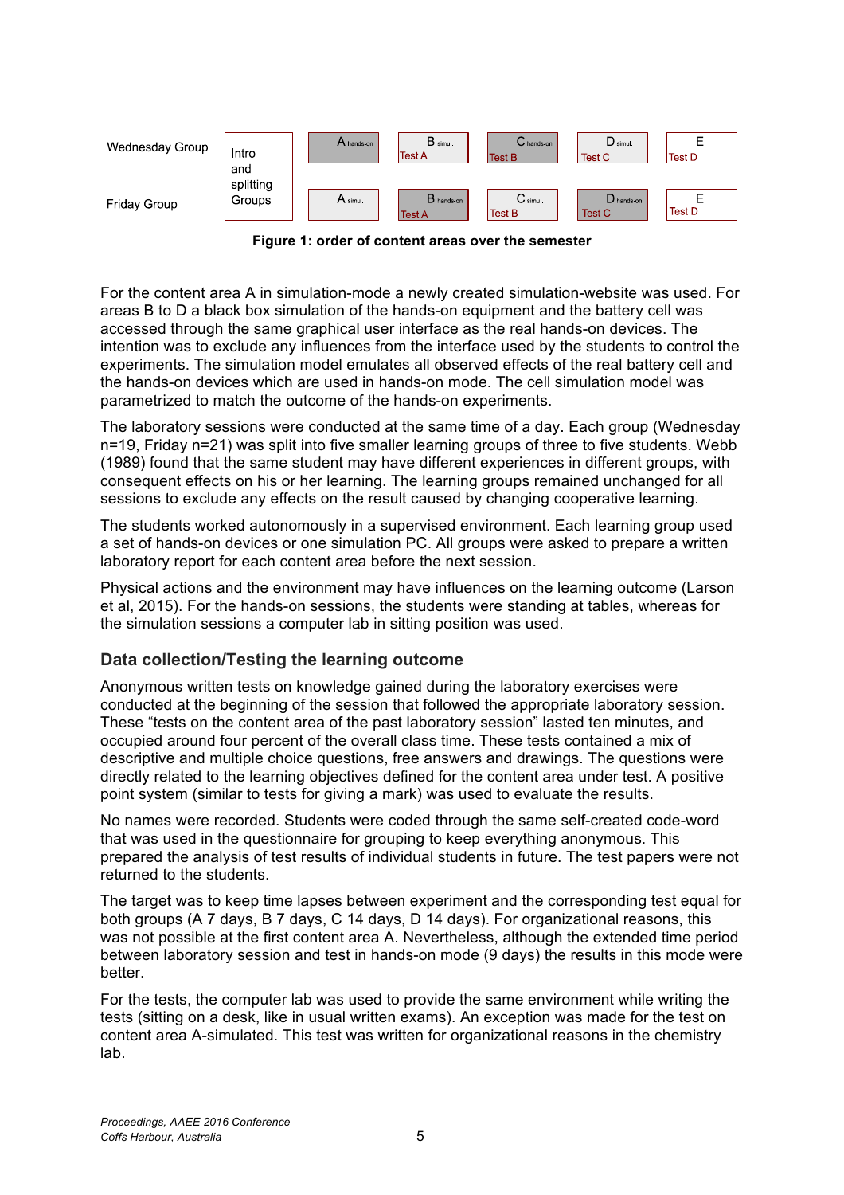

**Figure 1: order of content areas over the semester** 

For the content area A in simulation-mode a newly created simulation-website was used. For areas B to D a black box simulation of the hands-on equipment and the battery cell was accessed through the same graphical user interface as the real hands-on devices. The intention was to exclude any influences from the interface used by the students to control the experiments. The simulation model emulates all observed effects of the real battery cell and the hands-on devices which are used in hands-on mode. The cell simulation model was parametrized to match the outcome of the hands-on experiments.

The laboratory sessions were conducted at the same time of a day. Each group (Wednesday n=19, Friday n=21) was split into five smaller learning groups of three to five students. Webb (1989) found that the same student may have different experiences in different groups, with consequent effects on his or her learning. The learning groups remained unchanged for all sessions to exclude any effects on the result caused by changing cooperative learning.

The students worked autonomously in a supervised environment. Each learning group used a set of hands-on devices or one simulation PC. All groups were asked to prepare a written laboratory report for each content area before the next session.

Physical actions and the environment may have influences on the learning outcome (Larson et al, 2015). For the hands-on sessions, the students were standing at tables, whereas for the simulation sessions a computer lab in sitting position was used.

## **Data collection/Testing the learning outcome**

Anonymous written tests on knowledge gained during the laboratory exercises were conducted at the beginning of the session that followed the appropriate laboratory session. These "tests on the content area of the past laboratory session" lasted ten minutes, and occupied around four percent of the overall class time. These tests contained a mix of descriptive and multiple choice questions, free answers and drawings. The questions were directly related to the learning objectives defined for the content area under test. A positive point system (similar to tests for giving a mark) was used to evaluate the results.

No names were recorded. Students were coded through the same self-created code-word that was used in the questionnaire for grouping to keep everything anonymous. This prepared the analysis of test results of individual students in future. The test papers were not returned to the students.

The target was to keep time lapses between experiment and the corresponding test equal for both groups (A 7 days, B 7 days, C 14 days, D 14 days). For organizational reasons, this was not possible at the first content area A. Nevertheless, although the extended time period between laboratory session and test in hands-on mode (9 days) the results in this mode were better.

For the tests, the computer lab was used to provide the same environment while writing the tests (sitting on a desk, like in usual written exams). An exception was made for the test on content area A-simulated. This test was written for organizational reasons in the chemistry lab.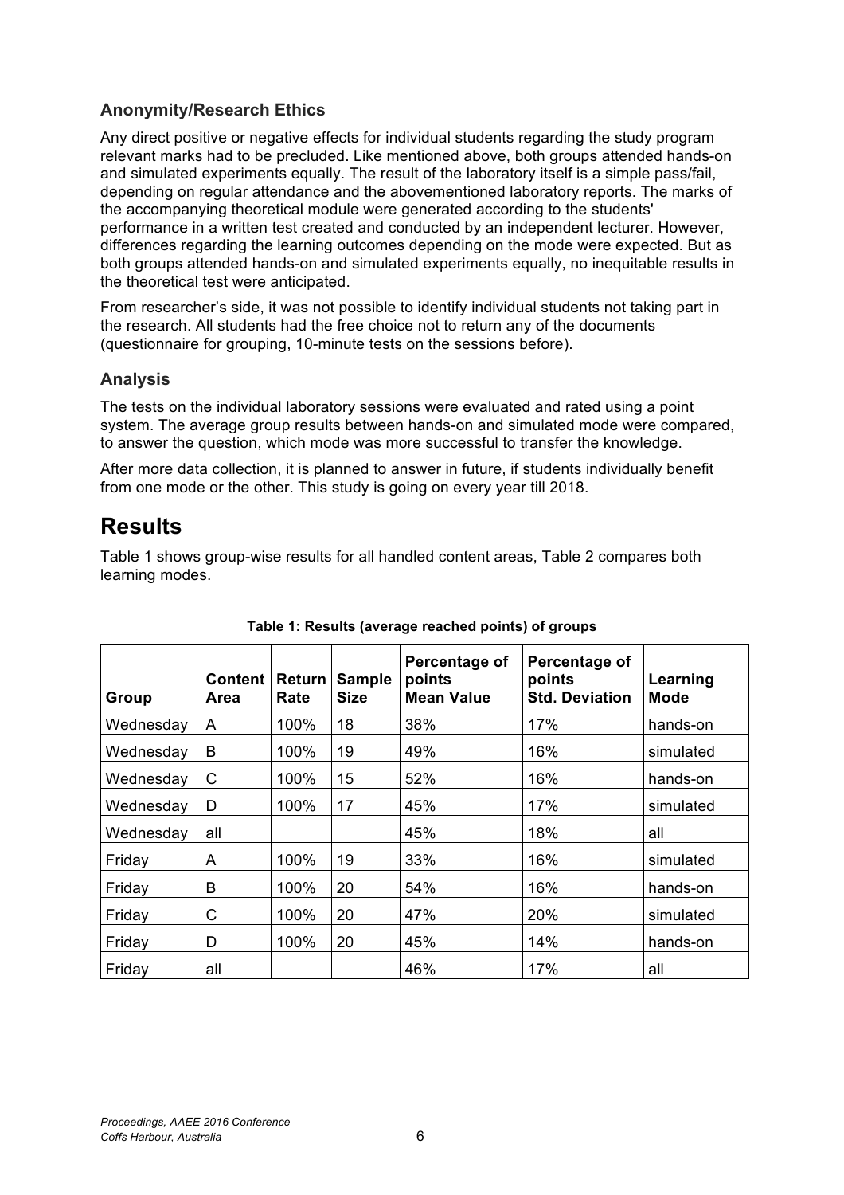## **Anonymity/Research Ethics**

Any direct positive or negative effects for individual students regarding the study program relevant marks had to be precluded. Like mentioned above, both groups attended hands-on and simulated experiments equally. The result of the laboratory itself is a simple pass/fail, depending on regular attendance and the abovementioned laboratory reports. The marks of the accompanying theoretical module were generated according to the students' performance in a written test created and conducted by an independent lecturer. However, differences regarding the learning outcomes depending on the mode were expected. But as both groups attended hands-on and simulated experiments equally, no inequitable results in the theoretical test were anticipated.

From researcher's side, it was not possible to identify individual students not taking part in the research. All students had the free choice not to return any of the documents (questionnaire for grouping, 10-minute tests on the sessions before).

## **Analysis**

The tests on the individual laboratory sessions were evaluated and rated using a point system. The average group results between hands-on and simulated mode were compared, to answer the question, which mode was more successful to transfer the knowledge.

After more data collection, it is planned to answer in future, if students individually benefit from one mode or the other. This study is going on every year till 2018.

# **Results**

Table 1 shows group-wise results for all handled content areas, Table 2 compares both learning modes.

| Group     | <b>Content</b><br>Area | <b>Return</b><br>Rate | <b>Sample</b><br>Size | Percentage of<br>points<br><b>Mean Value</b> | Percentage of<br>points<br><b>Std. Deviation</b> | Learning<br><b>Mode</b> |
|-----------|------------------------|-----------------------|-----------------------|----------------------------------------------|--------------------------------------------------|-------------------------|
| Wednesday | A                      | 100%                  | 18                    | 38%                                          | 17%                                              | hands-on                |
| Wednesday | B                      | 100%                  | 19                    | 49%                                          | 16%                                              | simulated               |
| Wednesday | C                      | 100%                  | 15                    | 52%                                          | 16%                                              | hands-on                |
| Wednesday | D                      | 100%                  | 17                    | 45%                                          | 17%                                              | simulated               |
| Wednesday | all                    |                       |                       | 45%                                          | 18%                                              | all                     |
| Friday    | A                      | 100%                  | 19                    | 33%                                          | 16%                                              | simulated               |
| Friday    | B                      | 100%                  | 20                    | 54%                                          | 16%                                              | hands-on                |
| Friday    | C                      | 100%                  | 20                    | 47%                                          | 20%                                              | simulated               |
| Friday    | D                      | 100%                  | 20                    | 45%                                          | 14%                                              | hands-on                |
| Friday    | all                    |                       |                       | 46%                                          | 17%                                              | all                     |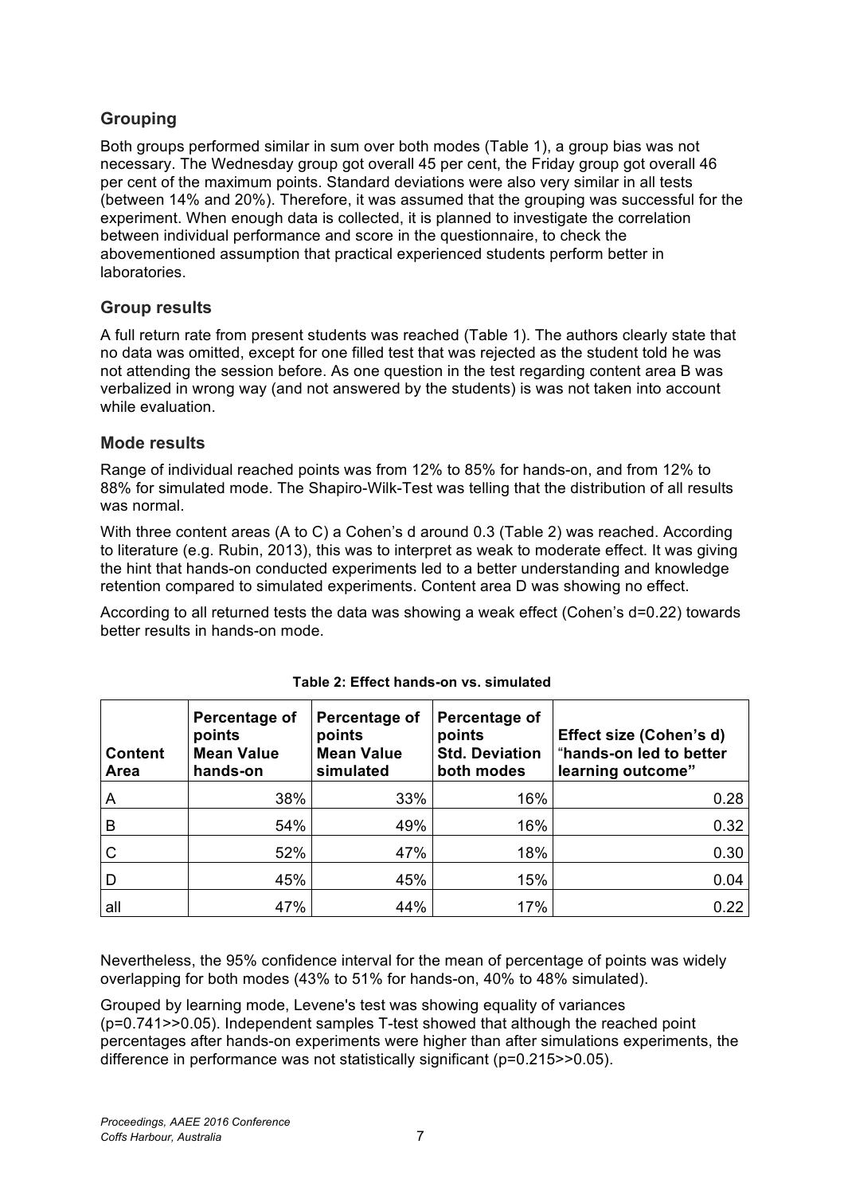## **Grouping**

Both groups performed similar in sum over both modes (Table 1), a group bias was not necessary. The Wednesday group got overall 45 per cent, the Friday group got overall 46 per cent of the maximum points. Standard deviations were also very similar in all tests (between 14% and 20%). Therefore, it was assumed that the grouping was successful for the experiment. When enough data is collected, it is planned to investigate the correlation between individual performance and score in the questionnaire, to check the abovementioned assumption that practical experienced students perform better in laboratories.

## **Group results**

A full return rate from present students was reached (Table 1). The authors clearly state that no data was omitted, except for one filled test that was rejected as the student told he was not attending the session before. As one question in the test regarding content area B was verbalized in wrong way (and not answered by the students) is was not taken into account while evaluation.

## **Mode results**

Range of individual reached points was from 12% to 85% for hands-on, and from 12% to 88% for simulated mode. The Shapiro-Wilk-Test was telling that the distribution of all results was normal.

With three content areas (A to C) a Cohen's d around 0.3 (Table 2) was reached. According to literature (e.g. Rubin, 2013), this was to interpret as weak to moderate effect. It was giving the hint that hands-on conducted experiments led to a better understanding and knowledge retention compared to simulated experiments. Content area D was showing no effect.

According to all returned tests the data was showing a weak effect (Cohen's d=0.22) towards better results in hands-on mode.

| <b>Content</b><br><b>Area</b> | Percentage of<br>points<br><b>Mean Value</b><br>hands-on | Percentage of<br>points<br><b>Mean Value</b><br>simulated | Percentage of<br>points<br><b>Std. Deviation</b><br>both modes | Effect size (Cohen's d)<br>"hands-on led to better<br>learning outcome" |
|-------------------------------|----------------------------------------------------------|-----------------------------------------------------------|----------------------------------------------------------------|-------------------------------------------------------------------------|
| A                             | 38%                                                      | 33%                                                       | 16%                                                            | 0.28                                                                    |
| B                             | 54%                                                      | 49%                                                       | 16%                                                            | 0.32                                                                    |
| C                             | 52%                                                      | 47%                                                       | 18%                                                            | 0.30                                                                    |
| D                             | 45%                                                      | 45%                                                       | 15%                                                            | 0.04                                                                    |
| all                           | 47%                                                      | 44%                                                       | 17%                                                            | 0.22                                                                    |

### **Table 2: Effect hands-on vs. simulated**

Nevertheless, the 95% confidence interval for the mean of percentage of points was widely overlapping for both modes (43% to 51% for hands-on, 40% to 48% simulated).

Grouped by learning mode, Levene's test was showing equality of variances (p=0.741>>0.05). Independent samples T-test showed that although the reached point percentages after hands-on experiments were higher than after simulations experiments, the difference in performance was not statistically significant (p=0.215>>0.05).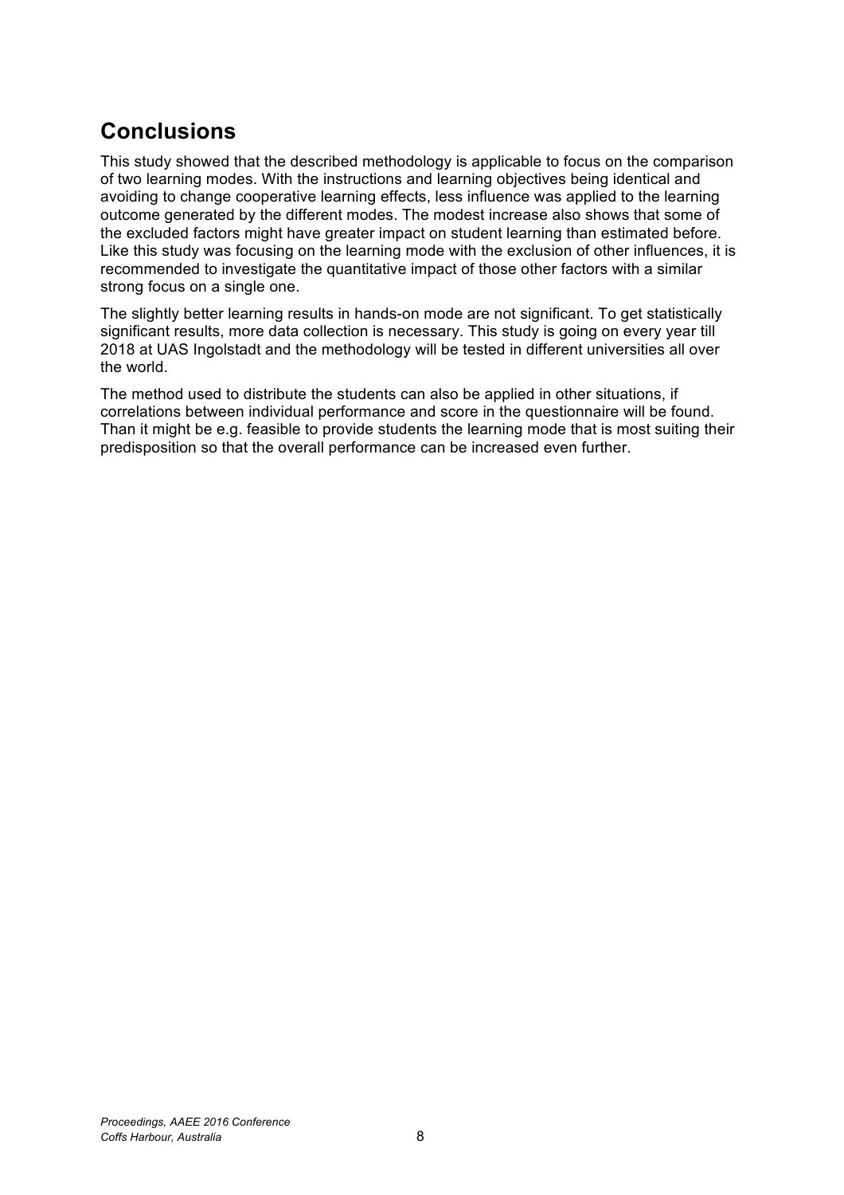# **Conclusions**

This study showed that the described methodology is applicable to focus on the comparison of two learning modes. With the instructions and learning objectives being identical and avoiding to change cooperative learning effects, less influence was applied to the learning outcome generated by the different modes. The modest increase also shows that some of the excluded factors might have greater impact on student learning than estimated before. Like this study was focusing on the learning mode with the exclusion of other influences, it is recommended to investigate the quantitative impact of those other factors with a similar strong focus on a single one.

The slightly better learning results in hands-on mode are not significant. To get statistically significant results, more data collection is necessary. This study is going on every year till 2018 at UAS Ingolstadt and the methodology will be tested in different universities all over the world.

The method used to distribute the students can also be applied in other situations, if correlations between individual performance and score in the questionnaire will be found. Than it might be e.g. feasible to provide students the learning mode that is most suiting their predisposition so that the overall performance can be increased even further.